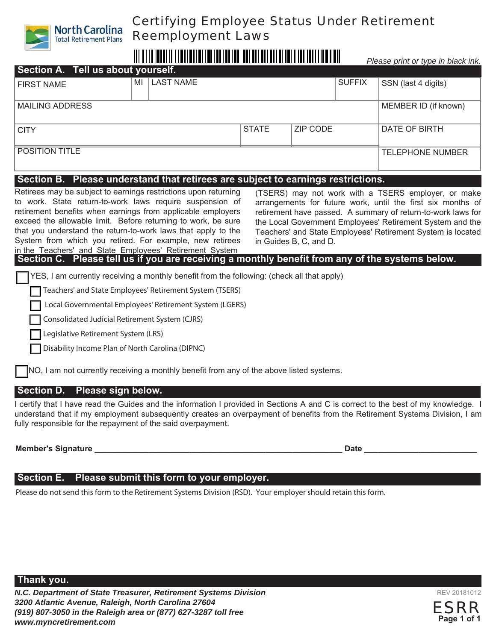

## Certifying Employee Status Under Retirement Reemployment Laws

# 

*Please print or type in black ink.* 

| Section A. Tell us about yourself. |    |                  |              |                 |               |                         |
|------------------------------------|----|------------------|--------------|-----------------|---------------|-------------------------|
| <b>FIRST NAME</b>                  | MI | <b>LAST NAME</b> |              |                 | <b>SUFFIX</b> | SSN (last 4 digits)     |
| <b>MAILING ADDRESS</b>             |    |                  |              |                 |               | MEMBER ID (if known)    |
| <b>CITY</b>                        |    |                  | <b>STATE</b> | <b>ZIP CODE</b> |               | <b>DATE OF BIRTH</b>    |
| <b>POSITION TITLE</b>              |    |                  |              |                 |               | <b>TELEPHONE NUMBER</b> |

## **Section B. Please understand that retirees are subject to earnings restrictions.**

Retirees may be subject to earnings restrictions upon returning to work. State return-to-work laws require suspension of retirement benefits when earnings from applicable employers exceed the allowable limit. Before returning to work, be sure that you understand the return-to-work laws that apply to the System from which you retired. For example, new retirees in the Teachers' and State Employees' Retirement System

(TSERS) may not work with a TSERS employer, or make arrangements for future work, until the first six months of retirement have passed. A summary of return-to-work laws for the Local Government Employees' Retirement System and the Teachers' and State Employees' Retirement System is located in Guides B, C, and D.

**Section C. Please tell us if you are receiving a monthly benefit from any of the systems below.** 

YES, I am currently receiving a monthly benefit from the following: (check all that apply)

Teachers' and State Employees' Retirement System (TSERS)

Local Governmental Employees' Retirement System (LGERS)

Consolidated Judicial Retirement System (CJRS)

Legislative Retirement System (LRS)

Disability Income Plan of North Carolina (DIPNC)

NO, I am not currently receiving a monthly benefit from any of the above listed systems.

### **Section D. Please sign below.**

I certify that I have read the Guides and the information I provided in Sections A and C is correct to the best of my knowledge. I understand that if my employment subsequently creates an overpayment of benefits from the Retirement Systems Division, I am fully responsible for the repayment of the said overpayment.

**Member's Signature \_\_\_\_\_\_\_\_\_\_\_\_\_\_\_\_\_\_\_\_\_\_\_\_\_\_\_\_\_\_\_\_\_\_\_\_\_\_\_\_\_\_\_\_\_\_\_\_\_\_\_\_\_\_\_ Date \_\_\_\_\_\_\_\_\_\_\_\_\_\_\_\_\_\_\_\_\_\_\_\_\_**

### **Section E. Please submit this form to your employer.**

Please do not send this form to the Retirement Systems Division (RSD). Your employer should retain this form.



REV 201810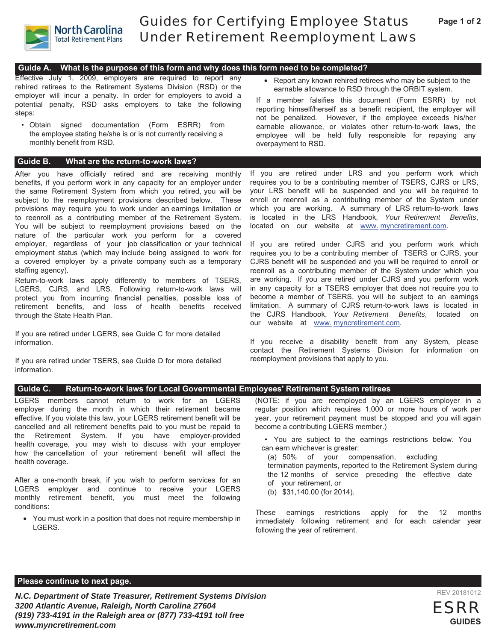

## Guides for Certifying Employee Status Under Retirement Reemployment Laws

#### **Guide A. What is the purpose of this form and why does this form need to be completed?**

Effective July 1, 2009, employers are required to report any rehired retirees to the Retirement Systems Division (RSD) or the employer will incur a penalty. In order for employers to avoid a potential penalty, RSD asks employers to take the following steps:

• Obtain signed documentation (Form ESRR) from the employee stating he/she is or is not currently receiving a monthly benefit from RSD.

#### **Guide B. What are the return-to-work laws?**

After you have officially retired and are receiving monthly benefits, if you perform work in any capacity for an employer under the same Retirement System from which you retired, you will be subject to the reemployment provisions described below. These provisions may require you to work under an earnings limitation or to reenroll as a contributing member of the Retirement System. You will be subject to reemployment provisions based on the nature of the particular work you perform for a covered employer, regardless of your job classification or your technical employment status (which may include being assigned to work for a covered employer by a private company such as a temporary staffing agency).

Return-to-work laws apply differently to members of TSERS, LGERS, CJRS, and LRS. Following return-to-work laws will protect you from incurring financial penalties, possible loss of retirement benefits, and loss of health benefits received through the State Health Plan.

If you are retired under LGERS, see Guide C for more detailed information.

If you are retired under TSERS, see Guide D for more detailed information.

• Report any known rehired retirees who may be subject to the earnable allowance to RSD through the ORBIT system.

If a member falsifies this document (Form ESRR) by not reporting himself/herself as a benefit recipient, the employer will not be penalized. However, if the employee exceeds his/her earnable allowance, or violates other return-to-work laws, the employee will be held fully responsible for repaying any overpayment to RSD.

If you are retired under LRS and you perform work which requires you to be a contributing member of TSERS, CJRS or LRS, your LRS benefit will be suspended and you will be required to enroll or reenroll as a contributing member of the System under which you are working. A summary of LRS return-to-work laws is located in the LRS Handbook, *Your Retirement Benefits*, located on our website at www. myncretirement.com.

If you are retired under CJRS and you perform work which requires you to be a contributing member of TSERS or CJRS, your CJRS benefit will be suspended and you will be required to enroll or reenroll as a contributing member of the System under which you are working. If you are retired under CJRS and you perform work in any capacity for a TSERS employer that does not require you to become a member of TSERS, you will be subject to an earnings limitation. A summary of CJRS return-to-work laws is located in the CJRS Handbook, *Your Retirement Benefits*, located on our website at www. myncretirement.com.

If you receive a disability benefit from any System, please contact the Retirement Systems Division for information on reemployment provisions that apply to you.

#### **Guide C. Return-to-work laws for Local Governmental Employees' Retirement System retirees**

LGERS members cannot return to work for an LGERS employer during the month in which their retirement became effective. If you violate this law, your LGERS retirement benefit will be cancelled and all retirement benefits paid to you must be repaid to the Retirement System. If you have employer-provided health coverage, you may wish to discuss with your employer how the cancellation of your retirement benefit will affect the health coverage.

After a one-month break, if you wish to perform services for an LGERS employer and continue to receive your LGERS monthly retirement benefit, you must meet the following conditions:

• You must work in a position that does not require membership in LGERS.

(NOTE: if you are reemployed by an LGERS employer in a regular position which requires 1,000 or more hours of work per year, your retirement payment must be stopped and you will again become a contributing LGERS member.)

- You are subject to the earnings restrictions below. You can earn whichever is greater:
- (a) 50% of your compensation, excluding termination payments, reported to the Retirement System during the 12 months of service preceding the effective date of your retirement, or
- (b) \$31,140.00 (for 2014).

These earnings restrictions apply for the 12 months immediately following retirement and for each calendar year following the year of retirement.

#### **Please continue to next page.**

*N.C. Department of State Treasurer, Retirement Systems Division 3200 Atlantic Avenue, Raleigh, North Carolina 27604 (919) 733-4191 in the Raleigh area or (877) 733-4191 toll free www.myncretirement.com*



REV 20181012